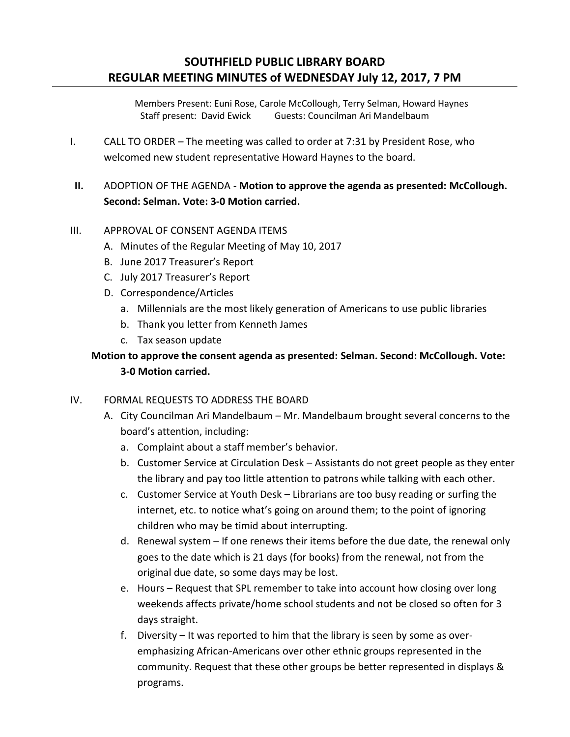Members Present: Euni Rose, Carole McCollough, Terry Selman, Howard Haynes Staff present: David Ewick Guests: Councilman Ari Mandelbaum

I. CALL TO ORDER – The meeting was called to order at 7:31 by President Rose, who welcomed new student representative Howard Haynes to the board.

## **II.** ADOPTION OF THE AGENDA - **Motion to approve the agenda as presented: McCollough. Second: Selman. Vote: 3-0 Motion carried.**

## III. APPROVAL OF CONSENT AGENDA ITEMS

- A. Minutes of the Regular Meeting of May 10, 2017
- B. June 2017 Treasurer's Report
- C. July 2017 Treasurer's Report
- D. Correspondence/Articles
	- a. Millennials are the most likely generation of Americans to use public libraries
	- b. Thank you letter from Kenneth James
	- c. Tax season update

# **Motion to approve the consent agenda as presented: Selman. Second: McCollough. Vote: 3-0 Motion carried.**

#### IV. FORMAL REQUESTS TO ADDRESS THE BOARD

- A. City Councilman Ari Mandelbaum Mr. Mandelbaum brought several concerns to the board's attention, including:
	- a. Complaint about a staff member's behavior.
	- b. Customer Service at Circulation Desk Assistants do not greet people as they enter the library and pay too little attention to patrons while talking with each other.
	- c. Customer Service at Youth Desk Librarians are too busy reading or surfing the internet, etc. to notice what's going on around them; to the point of ignoring children who may be timid about interrupting.
	- d. Renewal system If one renews their items before the due date, the renewal only goes to the date which is 21 days (for books) from the renewal, not from the original due date, so some days may be lost.
	- e. Hours Request that SPL remember to take into account how closing over long weekends affects private/home school students and not be closed so often for 3 days straight.
	- f. Diversity It was reported to him that the library is seen by some as overemphasizing African-Americans over other ethnic groups represented in the community. Request that these other groups be better represented in displays & programs.